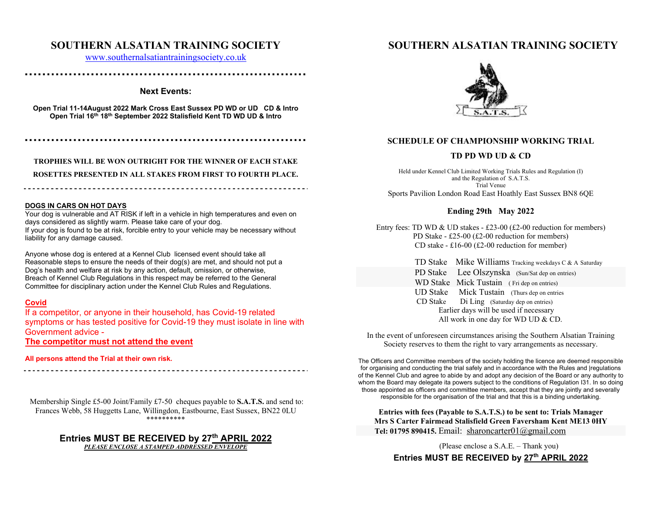### **SOUTHERN ALSATIAN TRAINING SOCIETY**

www.southernalsatiantrainingsociety.co.uk

### **▪ ▪ ▪ ▪ ▪ ▪ ▪ ▪ ▪ ▪ ▪ ▪ ▪ ▪ ▪ ▪ ▪ ▪ ▪ ▪ ▪ ▪ ▪ ▪ ▪ ▪ ▪ ▪ ▪ ▪ ▪ ▪ ▪ ▪ ▪ ▪ ▪ ▪ ▪ ▪ ▪ ▪ ▪ ▪ ▪ ▪ ▪ ▪ ▪ ▪ ▪ ▪ ▪ ▪ ▪ ▪ ▪ ▪ ▪ ▪ ▪ ▪ ▪ ▪**

### **Next Events:**

**Open Trial 11-14August 2022 Mark Cross East Sussex PD WD or UD CD & Intro Open Trial 16th 18th September 2022 Stalisfield Kent TD WD UD & Intro** 

**▪ ▪ ▪ ▪ ▪ ▪ ▪ ▪ ▪ ▪ ▪ ▪ ▪ ▪ ▪ ▪ ▪ ▪ ▪ ▪ ▪ ▪ ▪ ▪ ▪ ▪ ▪ ▪ ▪ ▪ ▪ ▪ ▪ ▪ ▪ ▪ ▪ ▪ ▪ ▪ ▪ ▪ ▪ ▪ ▪ ▪ ▪ ▪ ▪ ▪ ▪ ▪ ▪ ▪ ▪ ▪ ▪ ▪ ▪ ▪ ▪ ▪ ▪ ▪** 

**TROPHIES WILL BE WON OUTRIGHT FOR THE WINNER OF EACH STAKE ROSETTES PRESENTED IN ALL STAKES FROM FIRST TO FOURTH PLACE.** 

#### **DOGS IN CARS ON HOT DAYS**

Your dog is vulnerable and AT RISK if left in a vehicle in high temperatures and even on days considered as slightly warm. Please take care of your dog. If your dog is found to be at risk, forcible entry to your vehicle may be necessary without liability for any damage caused.

Anyone whose dog is entered at a Kennel Club licensed event should take all Reasonable steps to ensure the needs of their dog(s) are met, and should not put a Dog's health and welfare at risk by any action, default, omission, or otherwise, Breach of Kennel Club Regulations in this respect may be referred to the General Committee for disciplinary action under the Kennel Club Rules and Regulations.

### **Covid**

If a competitor, or anyone in their household, has Covid-19 related symptoms or has tested positive for Covid-19 they must isolate in line with Government advice -

**The competitor must not attend the event** 

**All persons attend the Trial at their own risk.**

 Membership Single £5-00 Joint/Family £7-50 cheques payable to **S.A.T.S.** and send to: Frances Webb, 58 Huggetts Lane, Willingdon, Eastbourne, East Sussex, BN22 0LU \*\*\*\*\*\*\*\*\*\*

# **Entries MUST BE RECEIVED by 27th APRIL 2022**  *PLEASE ENCLOSE A STAMPED ADDRESSED ENVELOPE*

## **SOUTHERN ALSATIAN TRAINING SOCIETY**



### **SCHEDULE OF CHAMPIONSHIP WORKING TRIAL**

### **TD PD WD UD & CD**

Held under Kennel Club Limited Working Trials Rules and Regulation (I) and the Regulation of S.A.T.S. Trial VenueSports Pavilion London Road East Hoathly East Sussex BN8 6QE

### **Ending 29th May 2022**

Entry fees: TD WD & UD stakes - £23-00 (£2-00 reduction for members) PD Stake - £25-00 (£2-00 reduction for members) CD stake - £16-00 (£2-00 reduction for member)

> TD Stake Mike Williams Tracking weekdays C & A Saturday PD Stake Lee Olszynska (Sun/Sat dep on entries) WD Stake Mick Tustain (Fri dep on entries) UD Stake Mick Tustain (Thurs dep on entries CD Stake Di Ling (Saturday dep on entries) Earlier days will be used if necessary All work in one day for WD UD & CD.

In the event of unforeseen circumstances arising the Southern Alsatian Training Society reserves to them the right to vary arrangements as necessary.

The Officers and Committee members of the society holding the licence are deemed responsible for organising and conducting the trial safely and in accordance with the Rules and |regulations of the Kennel Club and agree to abide by and adopt any decision of the Board or any authority to whom the Board may delegate ita powers subject to the conditions of Regulation I31. In so doing those appointed as officers and committee members, accept that they are jointly and severally responsible for the organisation of the trial and that this is a binding undertaking.

**Entries with fees (Payable to S.A.T.S.) to be sent to: Trials Manager Mrs S Carter Fairmead Stalisfield Green Faversham Kent ME13 0HY Tel: 01795 890415.** Email: sharoncarter01@gmail.com

(Please enclose a S.A.E. – Thank you)

Entries MUST BE RECEIVED by 27<sup>th</sup> APRIL 2022